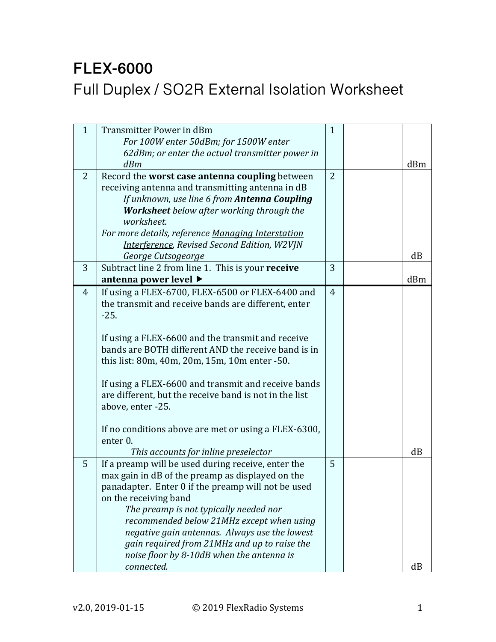## **FLEX-6000** Full Duplex / SO2R External Isolation Worksheet

| $\mathbf{1}$   | Transmitter Power in dBm                               | $\mathbf{1}$   |     |
|----------------|--------------------------------------------------------|----------------|-----|
|                | For 100W enter 50dBm; for 1500W enter                  |                |     |
|                | 62dBm; or enter the actual transmitter power in        |                |     |
|                | dBm                                                    |                | dBm |
| 2              | Record the worst case antenna coupling between         | $\overline{2}$ |     |
|                | receiving antenna and transmitting antenna in dB       |                |     |
|                | If unknown, use line 6 from Antenna Coupling           |                |     |
|                | Worksheet below after working through the              |                |     |
|                | worksheet.                                             |                |     |
|                | For more details, reference Managing Interstation      |                |     |
|                | <b>Interference, Revised Second Edition, W2VJN</b>     |                |     |
|                | George Cutsogeorge                                     |                | dB  |
| 3              | Subtract line 2 from line 1. This is your receive      | 3              |     |
|                | antenna power level ▶                                  |                | dBm |
| $\overline{4}$ | If using a FLEX-6700, FLEX-6500 or FLEX-6400 and       | $\overline{4}$ |     |
|                | the transmit and receive bands are different, enter    |                |     |
|                | $-25.$                                                 |                |     |
|                |                                                        |                |     |
|                | If using a FLEX-6600 and the transmit and receive      |                |     |
|                | bands are BOTH different AND the receive band is in    |                |     |
|                | this list: 80m, 40m, 20m, 15m, 10m enter -50.          |                |     |
|                |                                                        |                |     |
|                | If using a FLEX-6600 and transmit and receive bands    |                |     |
|                | are different, but the receive band is not in the list |                |     |
|                | above, enter -25.                                      |                |     |
|                |                                                        |                |     |
|                | If no conditions above are met or using a FLEX-6300,   |                |     |
|                | enter <sub>0</sub> .                                   |                |     |
|                | This accounts for inline preselector                   |                | dB  |
| 5              | If a preamp will be used during receive, enter the     | 5              |     |
|                | max gain in dB of the preamp as displayed on the       |                |     |
|                | panadapter. Enter 0 if the preamp will not be used     |                |     |
|                | on the receiving band                                  |                |     |
|                | The preamp is not typically needed nor                 |                |     |
|                | recommended below 21MHz except when using              |                |     |
|                | negative gain antennas. Always use the lowest          |                |     |
|                | gain required from 21MHz and up to raise the           |                |     |
|                | noise floor by 8-10dB when the antenna is              |                |     |
|                | connected.                                             |                | dB  |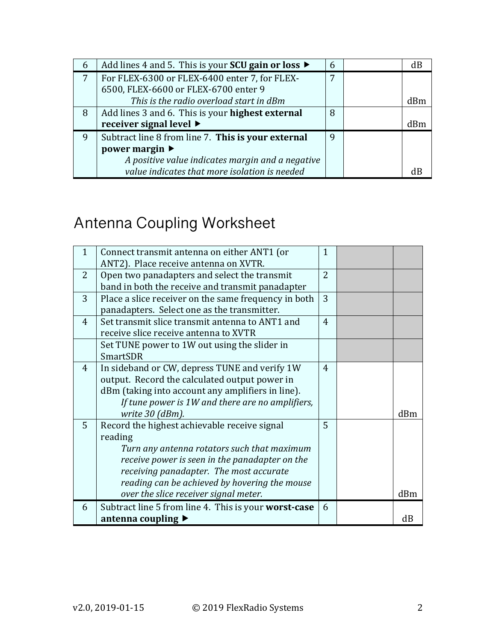| 6              | Add lines 4 and 5. This is your SCU gain or loss $\blacktriangleright$ | 6 | dВ  |
|----------------|------------------------------------------------------------------------|---|-----|
| $\overline{7}$ | For FLEX-6300 or FLEX-6400 enter 7, for FLEX-                          | 7 |     |
|                | 6500, FLEX-6600 or FLEX-6700 enter 9                                   |   |     |
|                | This is the radio overload start in dBm                                |   | dRm |
| 8              | Add lines 3 and 6. This is your highest external                       | 8 |     |
|                | receiver signal level $\blacktriangleright$                            |   | dRm |
| 9              | Subtract line 8 from line 7. This is your external                     | 9 |     |
|                | power margin $\blacktriangleright$                                     |   |     |
|                | A positive value indicates margin and a negative                       |   |     |
|                | value indicates that more isolation is needed                          |   |     |

## Antenna Coupling Worksheet

| $\mathbf{1}$ | Connect transmit antenna on either ANT1 (or          | $\mathbf{1}$   |     |
|--------------|------------------------------------------------------|----------------|-----|
|              | ANT2). Place receive antenna on XVTR.                |                |     |
| 2            | Open two panadapters and select the transmit         | $\overline{2}$ |     |
|              | band in both the receive and transmit panadapter     |                |     |
| 3            | Place a slice receiver on the same frequency in both | 3              |     |
|              | panadapters. Select one as the transmitter.          |                |     |
| 4            | Set transmit slice transmit antenna to ANT1 and      | 4              |     |
|              | receive slice receive antenna to XVTR                |                |     |
|              | Set TUNE power to 1W out using the slider in         |                |     |
|              | <b>SmartSDR</b>                                      |                |     |
| 4            | In sideband or CW, depress TUNE and verify 1W        | 4              |     |
|              | output. Record the calculated output power in        |                |     |
|              | dBm (taking into account any amplifiers in line).    |                |     |
|              | If tune power is 1W and there are no amplifiers,     |                |     |
|              | write 30 (dBm).                                      |                | dBm |
| 5            | Record the highest achievable receive signal         | 5              |     |
|              | reading                                              |                |     |
|              | Turn any antenna rotators such that maximum          |                |     |
|              | receive power is seen in the panadapter on the       |                |     |
|              | receiving panadapter. The most accurate              |                |     |
|              | reading can be achieved by hovering the mouse        |                |     |
|              | over the slice receiver signal meter.                |                | dBm |
| 6            | Subtract line 5 from line 4. This is your worst-case | 6              |     |
|              | antenna coupling ▶                                   |                | dB  |